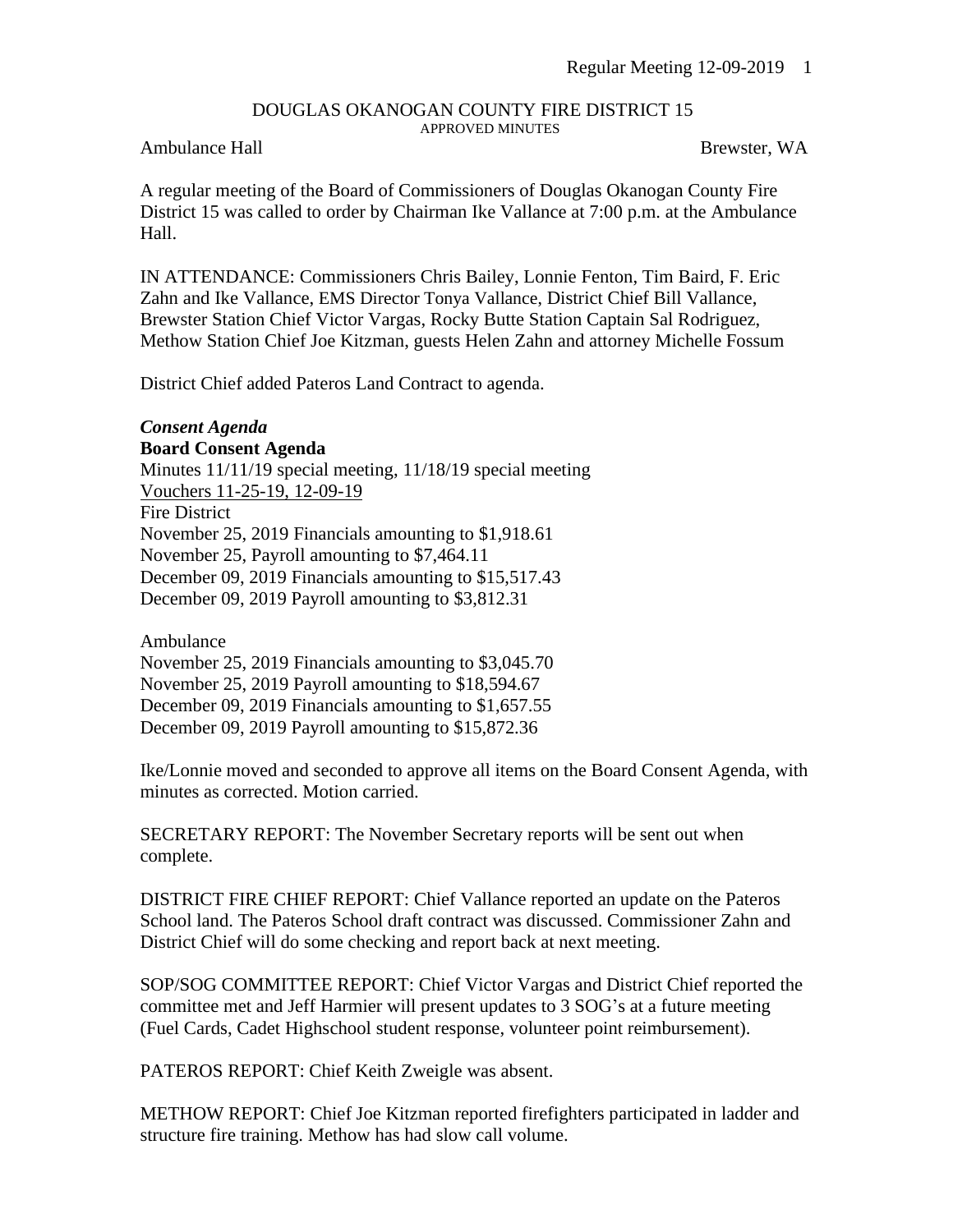## DOUGLAS OKANOGAN COUNTY FIRE DISTRICT 15 APPROVED MINUTES

## Ambulance Hall Brewster, WA

A regular meeting of the Board of Commissioners of Douglas Okanogan County Fire District 15 was called to order by Chairman Ike Vallance at 7:00 p.m. at the Ambulance Hall.

IN ATTENDANCE: Commissioners Chris Bailey, Lonnie Fenton, Tim Baird, F. Eric Zahn and Ike Vallance, EMS Director Tonya Vallance, District Chief Bill Vallance, Brewster Station Chief Victor Vargas, Rocky Butte Station Captain Sal Rodriguez, Methow Station Chief Joe Kitzman, guests Helen Zahn and attorney Michelle Fossum

District Chief added Pateros Land Contract to agenda.

## *Consent Agenda*

**Board Consent Agenda** Minutes 11/11/19 special meeting, 11/18/19 special meeting Vouchers 11-25-19, 12-09-19 Fire District November 25, 2019 Financials amounting to \$1,918.61 November 25, Payroll amounting to \$7,464.11 December 09, 2019 Financials amounting to \$15,517.43 December 09, 2019 Payroll amounting to \$3,812.31

Ambulance

November 25, 2019 Financials amounting to \$3,045.70 November 25, 2019 Payroll amounting to \$18,594.67 December 09, 2019 Financials amounting to \$1,657.55 December 09, 2019 Payroll amounting to \$15,872.36

Ike/Lonnie moved and seconded to approve all items on the Board Consent Agenda, with minutes as corrected. Motion carried.

SECRETARY REPORT: The November Secretary reports will be sent out when complete.

DISTRICT FIRE CHIEF REPORT: Chief Vallance reported an update on the Pateros School land. The Pateros School draft contract was discussed. Commissioner Zahn and District Chief will do some checking and report back at next meeting.

SOP/SOG COMMITTEE REPORT: Chief Victor Vargas and District Chief reported the committee met and Jeff Harmier will present updates to 3 SOG's at a future meeting (Fuel Cards, Cadet Highschool student response, volunteer point reimbursement).

PATEROS REPORT: Chief Keith Zweigle was absent.

METHOW REPORT: Chief Joe Kitzman reported firefighters participated in ladder and structure fire training. Methow has had slow call volume.